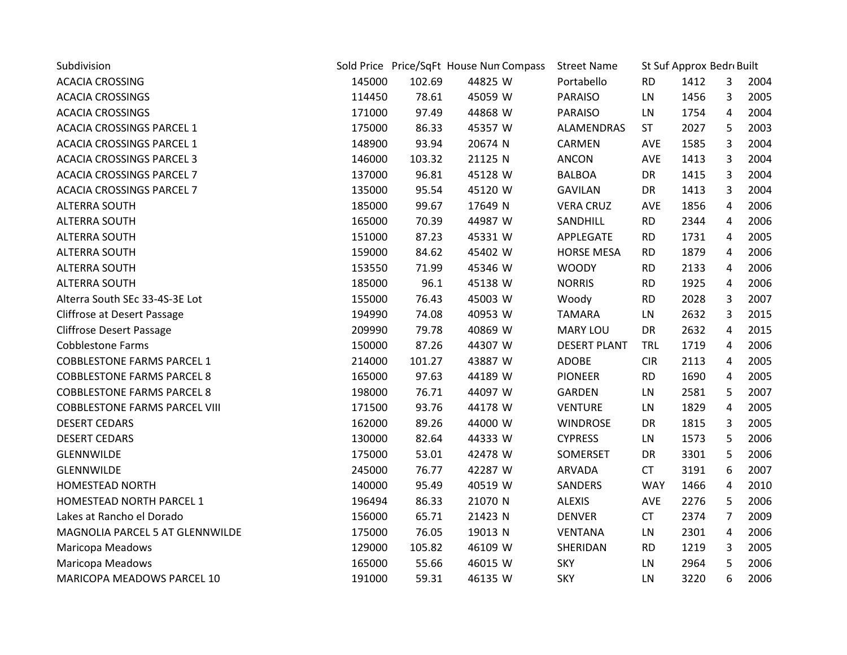| Subdivision                          |        |        | Sold Price Price/SqFt House Nun Compass | <b>Street Name</b>  | St Suf Approx Bedr Built |      |                |      |
|--------------------------------------|--------|--------|-----------------------------------------|---------------------|--------------------------|------|----------------|------|
| <b>ACACIA CROSSING</b>               | 145000 | 102.69 | 44825 W                                 | Portabello          | <b>RD</b>                | 1412 | 3              | 2004 |
| <b>ACACIA CROSSINGS</b>              | 114450 | 78.61  | 45059 W                                 | <b>PARAISO</b>      | LN                       | 1456 | 3              | 2005 |
| <b>ACACIA CROSSINGS</b>              | 171000 | 97.49  | 44868 W                                 | <b>PARAISO</b>      | LN                       | 1754 | 4              | 2004 |
| <b>ACACIA CROSSINGS PARCEL 1</b>     | 175000 | 86.33  | 45357 W                                 | ALAMENDRAS          | <b>ST</b>                | 2027 | 5              | 2003 |
| <b>ACACIA CROSSINGS PARCEL 1</b>     | 148900 | 93.94  | 20674 N                                 | CARMEN              | <b>AVE</b>               | 1585 | 3              | 2004 |
| <b>ACACIA CROSSINGS PARCEL 3</b>     | 146000 | 103.32 | 21125 N                                 | ANCON               | AVE                      | 1413 | 3              | 2004 |
| <b>ACACIA CROSSINGS PARCEL 7</b>     | 137000 | 96.81  | 45128 W                                 | <b>BALBOA</b>       | <b>DR</b>                | 1415 | 3              | 2004 |
| <b>ACACIA CROSSINGS PARCEL 7</b>     | 135000 | 95.54  | 45120 W                                 | <b>GAVILAN</b>      | <b>DR</b>                | 1413 | 3              | 2004 |
| <b>ALTERRA SOUTH</b>                 | 185000 | 99.67  | 17649 N                                 | <b>VERA CRUZ</b>    | <b>AVE</b>               | 1856 | 4              | 2006 |
| <b>ALTERRA SOUTH</b>                 | 165000 | 70.39  | 44987 W                                 | SANDHILL            | <b>RD</b>                | 2344 | 4              | 2006 |
| <b>ALTERRA SOUTH</b>                 | 151000 | 87.23  | 45331 W                                 | APPLEGATE           | <b>RD</b>                | 1731 | 4              | 2005 |
| <b>ALTERRA SOUTH</b>                 | 159000 | 84.62  | 45402 W                                 | <b>HORSE MESA</b>   | <b>RD</b>                | 1879 | 4              | 2006 |
| <b>ALTERRA SOUTH</b>                 | 153550 | 71.99  | 45346 W                                 | <b>WOODY</b>        | <b>RD</b>                | 2133 | 4              | 2006 |
| <b>ALTERRA SOUTH</b>                 | 185000 | 96.1   | 45138 W                                 | <b>NORRIS</b>       | <b>RD</b>                | 1925 | 4              | 2006 |
| Alterra South SEc 33-4S-3E Lot       | 155000 | 76.43  | 45003 W                                 | Woody               | <b>RD</b>                | 2028 | 3              | 2007 |
| Cliffrose at Desert Passage          | 194990 | 74.08  | 40953 W                                 | <b>TAMARA</b>       | LN                       | 2632 | 3              | 2015 |
| <b>Cliffrose Desert Passage</b>      | 209990 | 79.78  | 40869 W                                 | MARY LOU            | <b>DR</b>                | 2632 | 4              | 2015 |
| <b>Cobblestone Farms</b>             | 150000 | 87.26  | 44307 W                                 | <b>DESERT PLANT</b> | <b>TRL</b>               | 1719 | 4              | 2006 |
| <b>COBBLESTONE FARMS PARCEL 1</b>    | 214000 | 101.27 | 43887 W                                 | <b>ADOBE</b>        | <b>CIR</b>               | 2113 | 4              | 2005 |
| <b>COBBLESTONE FARMS PARCEL 8</b>    | 165000 | 97.63  | 44189 W                                 | <b>PIONEER</b>      | <b>RD</b>                | 1690 | 4              | 2005 |
| <b>COBBLESTONE FARMS PARCEL 8</b>    | 198000 | 76.71  | 44097 W                                 | <b>GARDEN</b>       | LN                       | 2581 | 5              | 2007 |
| <b>COBBLESTONE FARMS PARCEL VIII</b> | 171500 | 93.76  | 44178 W                                 | <b>VENTURE</b>      | LN                       | 1829 | 4              | 2005 |
| <b>DESERT CEDARS</b>                 | 162000 | 89.26  | 44000 W                                 | <b>WINDROSE</b>     | DR                       | 1815 | 3              | 2005 |
| <b>DESERT CEDARS</b>                 | 130000 | 82.64  | 44333 W                                 | <b>CYPRESS</b>      | LN                       | 1573 | 5              | 2006 |
| GLENNWILDE                           | 175000 | 53.01  | 42478 W                                 | SOMERSET            | DR                       | 3301 | 5              | 2006 |
| <b>GLENNWILDE</b>                    | 245000 | 76.77  | 42287 W                                 | <b>ARVADA</b>       | <b>CT</b>                | 3191 | 6              | 2007 |
| <b>HOMESTEAD NORTH</b>               | 140000 | 95.49  | 40519 W                                 | SANDERS             | <b>WAY</b>               | 1466 | 4              | 2010 |
| HOMESTEAD NORTH PARCEL 1             | 196494 | 86.33  | 21070 N                                 | <b>ALEXIS</b>       | AVE                      | 2276 | 5              | 2006 |
| Lakes at Rancho el Dorado            | 156000 | 65.71  | 21423 N                                 | <b>DENVER</b>       | <b>CT</b>                | 2374 | $\overline{7}$ | 2009 |
| MAGNOLIA PARCEL 5 AT GLENNWILDE      | 175000 | 76.05  | 19013 N                                 | <b>VENTANA</b>      | <b>LN</b>                | 2301 | 4              | 2006 |
| Maricopa Meadows                     | 129000 | 105.82 | 46109 W                                 | SHERIDAN            | <b>RD</b>                | 1219 | 3              | 2005 |
| Maricopa Meadows                     | 165000 | 55.66  | 46015 W                                 | <b>SKY</b>          | LN                       | 2964 | 5              | 2006 |
| MARICOPA MEADOWS PARCEL 10           | 191000 | 59.31  | 46135 W                                 | <b>SKY</b>          | LN                       | 3220 | 6              | 2006 |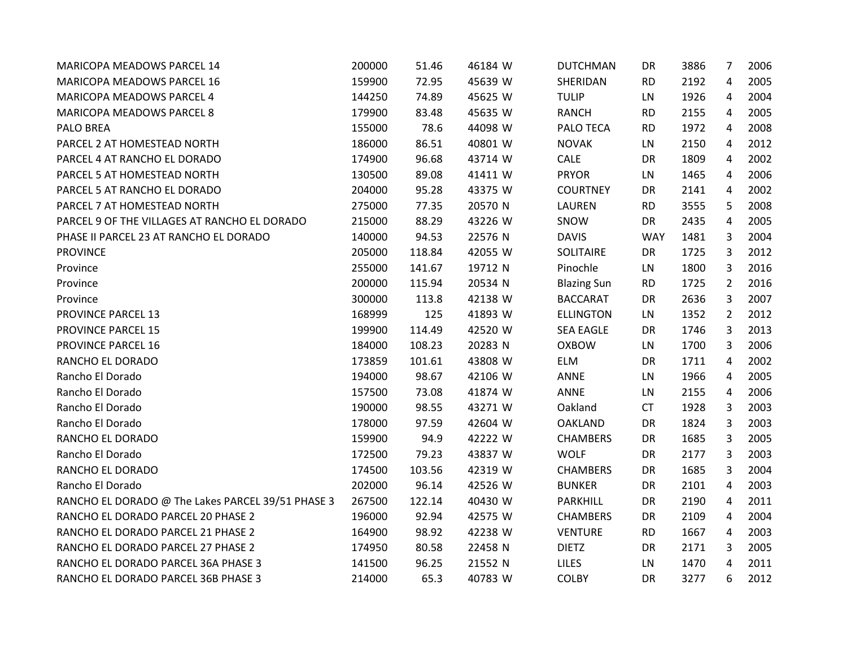| MARICOPA MEADOWS PARCEL 14                        | 200000 | 51.46  | 46184 W | <b>DUTCHMAN</b>    | DR         | 3886 | 7              | 2006 |
|---------------------------------------------------|--------|--------|---------|--------------------|------------|------|----------------|------|
| MARICOPA MEADOWS PARCEL 16                        | 159900 | 72.95  | 45639 W | SHERIDAN           | <b>RD</b>  | 2192 | 4              | 2005 |
| MARICOPA MEADOWS PARCEL 4                         | 144250 | 74.89  | 45625 W | <b>TULIP</b>       | LN         | 1926 | 4              | 2004 |
| <b>MARICOPA MEADOWS PARCEL 8</b>                  | 179900 | 83.48  | 45635 W | <b>RANCH</b>       | <b>RD</b>  | 2155 | 4              | 2005 |
| PALO BREA                                         | 155000 | 78.6   | 44098 W | PALO TECA          | <b>RD</b>  | 1972 | 4              | 2008 |
| PARCEL 2 AT HOMESTEAD NORTH                       | 186000 | 86.51  | 40801 W | <b>NOVAK</b>       | LN         | 2150 | 4              | 2012 |
| PARCEL 4 AT RANCHO EL DORADO                      | 174900 | 96.68  | 43714 W | CALE               | DR         | 1809 | 4              | 2002 |
| PARCEL 5 AT HOMESTEAD NORTH                       | 130500 | 89.08  | 41411 W | <b>PRYOR</b>       | LN         | 1465 | 4              | 2006 |
| PARCEL 5 AT RANCHO EL DORADO                      | 204000 | 95.28  | 43375 W | <b>COURTNEY</b>    | <b>DR</b>  | 2141 | 4              | 2002 |
| PARCEL 7 AT HOMESTEAD NORTH                       | 275000 | 77.35  | 20570 N | LAUREN             | <b>RD</b>  | 3555 | 5              | 2008 |
| PARCEL 9 OF THE VILLAGES AT RANCHO EL DORADO      | 215000 | 88.29  | 43226 W | SNOW               | DR         | 2435 | 4              | 2005 |
| PHASE II PARCEL 23 AT RANCHO EL DORADO            | 140000 | 94.53  | 22576 N | <b>DAVIS</b>       | <b>WAY</b> | 1481 | 3              | 2004 |
| <b>PROVINCE</b>                                   | 205000 | 118.84 | 42055 W | SOLITAIRE          | DR         | 1725 | 3              | 2012 |
| Province                                          | 255000 | 141.67 | 19712 N | Pinochle           | LN         | 1800 | 3              | 2016 |
| Province                                          | 200000 | 115.94 | 20534 N | <b>Blazing Sun</b> | <b>RD</b>  | 1725 | $\overline{2}$ | 2016 |
| Province                                          | 300000 | 113.8  | 42138 W | <b>BACCARAT</b>    | DR         | 2636 | 3              | 2007 |
| <b>PROVINCE PARCEL 13</b>                         | 168999 | 125    | 41893 W | <b>ELLINGTON</b>   | LN         | 1352 | $\overline{2}$ | 2012 |
| <b>PROVINCE PARCEL 15</b>                         | 199900 | 114.49 | 42520 W | <b>SEA EAGLE</b>   | DR         | 1746 | 3              | 2013 |
| <b>PROVINCE PARCEL 16</b>                         | 184000 | 108.23 | 20283 N | <b>OXBOW</b>       | LN         | 1700 | 3              | 2006 |
| RANCHO EL DORADO                                  | 173859 | 101.61 | 43808 W | <b>ELM</b>         | DR         | 1711 | 4              | 2002 |
| Rancho El Dorado                                  | 194000 | 98.67  | 42106 W | ANNE               | LN         | 1966 | 4              | 2005 |
| Rancho El Dorado                                  | 157500 | 73.08  | 41874 W | <b>ANNE</b>        | LN         | 2155 | 4              | 2006 |
| Rancho El Dorado                                  | 190000 | 98.55  | 43271 W | Oakland            | <b>CT</b>  | 1928 | 3              | 2003 |
| Rancho El Dorado                                  | 178000 | 97.59  | 42604 W | <b>OAKLAND</b>     | DR         | 1824 | 3              | 2003 |
| RANCHO EL DORADO                                  | 159900 | 94.9   | 42222 W | <b>CHAMBERS</b>    | DR         | 1685 | 3              | 2005 |
| Rancho El Dorado                                  | 172500 | 79.23  | 43837 W | <b>WOLF</b>        | DR         | 2177 | 3              | 2003 |
| RANCHO EL DORADO                                  | 174500 | 103.56 | 42319 W | <b>CHAMBERS</b>    | DR         | 1685 | 3              | 2004 |
| Rancho El Dorado                                  | 202000 | 96.14  | 42526 W | <b>BUNKER</b>      | DR         | 2101 | 4              | 2003 |
| RANCHO EL DORADO @ The Lakes PARCEL 39/51 PHASE 3 | 267500 | 122.14 | 40430 W | <b>PARKHILL</b>    | DR         | 2190 | 4              | 2011 |
| RANCHO EL DORADO PARCEL 20 PHASE 2                | 196000 | 92.94  | 42575 W | <b>CHAMBERS</b>    | DR         | 2109 | 4              | 2004 |
| RANCHO EL DORADO PARCEL 21 PHASE 2                | 164900 | 98.92  | 42238 W | <b>VENTURE</b>     | <b>RD</b>  | 1667 | 4              | 2003 |
| RANCHO EL DORADO PARCEL 27 PHASE 2                | 174950 | 80.58  | 22458 N | <b>DIETZ</b>       | DR         | 2171 | 3              | 2005 |
| RANCHO EL DORADO PARCEL 36A PHASE 3               | 141500 | 96.25  | 21552 N | <b>LILES</b>       | LN         | 1470 | 4              | 2011 |
| RANCHO EL DORADO PARCEL 36B PHASE 3               | 214000 | 65.3   | 40783 W | <b>COLBY</b>       | <b>DR</b>  | 3277 | 6              | 2012 |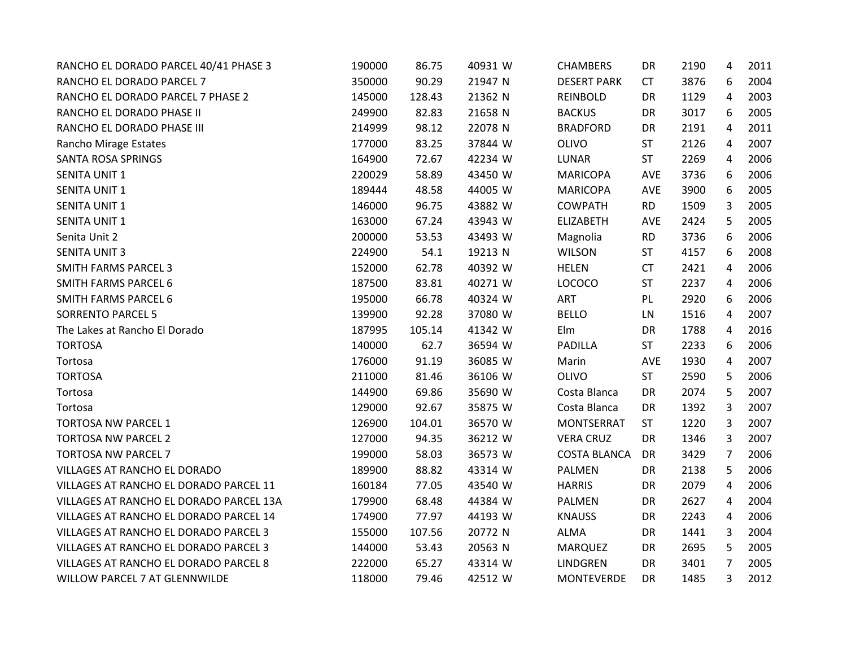| RANCHO EL DORADO PARCEL 40/41 PHASE 3   | 190000 | 86.75  | 40931 W | <b>CHAMBERS</b>     | DR         | 2190 | 4              | 2011 |
|-----------------------------------------|--------|--------|---------|---------------------|------------|------|----------------|------|
| RANCHO EL DORADO PARCEL 7               | 350000 | 90.29  | 21947 N | <b>DESERT PARK</b>  | <b>CT</b>  | 3876 | 6              | 2004 |
| RANCHO EL DORADO PARCEL 7 PHASE 2       | 145000 | 128.43 | 21362 N | REINBOLD            | DR         | 1129 | 4              | 2003 |
| RANCHO EL DORADO PHASE II               | 249900 | 82.83  | 21658 N | <b>BACKUS</b>       | <b>DR</b>  | 3017 | 6              | 2005 |
| RANCHO EL DORADO PHASE III              | 214999 | 98.12  | 22078 N | <b>BRADFORD</b>     | DR         | 2191 | 4              | 2011 |
| Rancho Mirage Estates                   | 177000 | 83.25  | 37844 W | <b>OLIVO</b>        | <b>ST</b>  | 2126 | 4              | 2007 |
| <b>SANTA ROSA SPRINGS</b>               | 164900 | 72.67  | 42234 W | LUNAR               | <b>ST</b>  | 2269 | 4              | 2006 |
| <b>SENITA UNIT 1</b>                    | 220029 | 58.89  | 43450 W | <b>MARICOPA</b>     | AVE        | 3736 | 6              | 2006 |
| <b>SENITA UNIT 1</b>                    | 189444 | 48.58  | 44005 W | <b>MARICOPA</b>     | AVE        | 3900 | 6              | 2005 |
| <b>SENITA UNIT 1</b>                    | 146000 | 96.75  | 43882 W | <b>COWPATH</b>      | <b>RD</b>  | 1509 | 3              | 2005 |
| <b>SENITA UNIT 1</b>                    | 163000 | 67.24  | 43943 W | <b>ELIZABETH</b>    | AVE        | 2424 | 5              | 2005 |
| Senita Unit 2                           | 200000 | 53.53  | 43493 W | Magnolia            | <b>RD</b>  | 3736 | 6              | 2006 |
| <b>SENITA UNIT 3</b>                    | 224900 | 54.1   | 19213 N | <b>WILSON</b>       | <b>ST</b>  | 4157 | 6              | 2008 |
| <b>SMITH FARMS PARCEL 3</b>             | 152000 | 62.78  | 40392 W | <b>HELEN</b>        | <b>CT</b>  | 2421 | 4              | 2006 |
| <b>SMITH FARMS PARCEL 6</b>             | 187500 | 83.81  | 40271 W | <b>LOCOCO</b>       | <b>ST</b>  | 2237 | 4              | 2006 |
| <b>SMITH FARMS PARCEL 6</b>             | 195000 | 66.78  | 40324 W | ART                 | PL         | 2920 | 6              | 2006 |
| <b>SORRENTO PARCEL 5</b>                | 139900 | 92.28  | 37080 W | <b>BELLO</b>        | LN         | 1516 | 4              | 2007 |
| The Lakes at Rancho El Dorado           | 187995 | 105.14 | 41342 W | Elm                 | DR         | 1788 | 4              | 2016 |
| <b>TORTOSA</b>                          | 140000 | 62.7   | 36594 W | <b>PADILLA</b>      | <b>ST</b>  | 2233 | 6              | 2006 |
| Tortosa                                 | 176000 | 91.19  | 36085 W | Marin               | <b>AVE</b> | 1930 | 4              | 2007 |
| <b>TORTOSA</b>                          | 211000 | 81.46  | 36106 W | <b>OLIVO</b>        | <b>ST</b>  | 2590 | 5              | 2006 |
| Tortosa                                 | 144900 | 69.86  | 35690 W | Costa Blanca        | DR         | 2074 | 5              | 2007 |
| Tortosa                                 | 129000 | 92.67  | 35875 W | Costa Blanca        | DR         | 1392 | 3              | 2007 |
| TORTOSA NW PARCEL 1                     | 126900 | 104.01 | 36570 W | MONTSERRAT          | <b>ST</b>  | 1220 | 3              | 2007 |
| <b>TORTOSA NW PARCEL 2</b>              | 127000 | 94.35  | 36212 W | <b>VERA CRUZ</b>    | DR         | 1346 | 3              | 2007 |
| <b>TORTOSA NW PARCEL 7</b>              | 199000 | 58.03  | 36573 W | <b>COSTA BLANCA</b> | DR         | 3429 | $\overline{7}$ | 2006 |
| VILLAGES AT RANCHO EL DORADO            | 189900 | 88.82  | 43314 W | PALMEN              | DR         | 2138 | 5              | 2006 |
| VILLAGES AT RANCHO EL DORADO PARCEL 11  | 160184 | 77.05  | 43540 W | <b>HARRIS</b>       | DR         | 2079 | 4              | 2006 |
| VILLAGES AT RANCHO EL DORADO PARCEL 13A | 179900 | 68.48  | 44384 W | PALMEN              | DR         | 2627 | 4              | 2004 |
| VILLAGES AT RANCHO EL DORADO PARCEL 14  | 174900 | 77.97  | 44193 W | <b>KNAUSS</b>       | DR         | 2243 | 4              | 2006 |
| VILLAGES AT RANCHO EL DORADO PARCEL 3   | 155000 | 107.56 | 20772 N | <b>ALMA</b>         | DR         | 1441 | 3              | 2004 |
| VILLAGES AT RANCHO EL DORADO PARCEL 3   | 144000 | 53.43  | 20563 N | <b>MARQUEZ</b>      | DR         | 2695 | 5              | 2005 |
| VILLAGES AT RANCHO EL DORADO PARCEL 8   | 222000 | 65.27  | 43314 W | LINDGREN            | DR         | 3401 | $\overline{7}$ | 2005 |
| <b>WILLOW PARCEL 7 AT GLENNWILDE</b>    | 118000 | 79.46  | 42512 W | <b>MONTEVERDE</b>   | DR         | 1485 | 3              | 2012 |